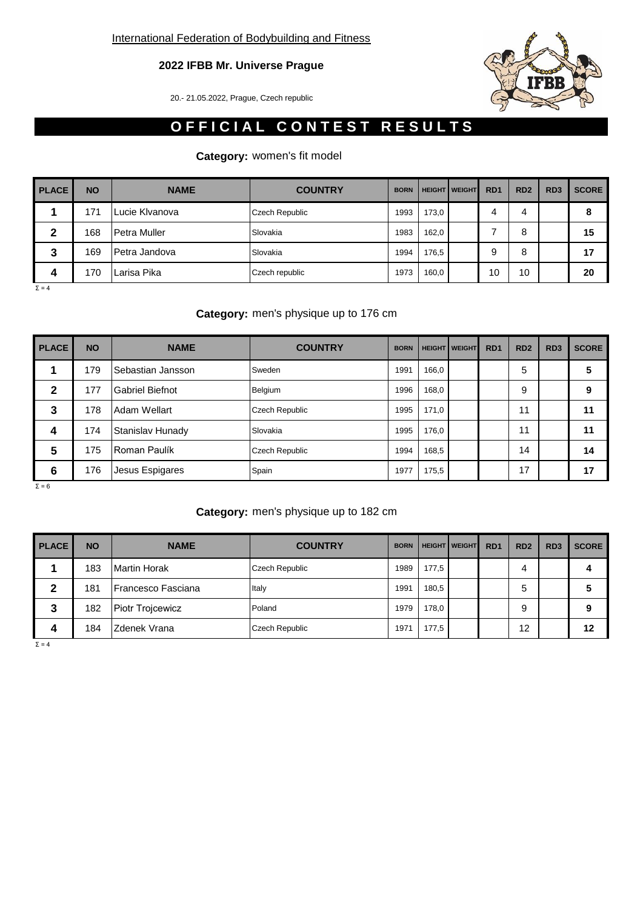# **2022 IFBB Mr. Universe Prague**

20.- 21.05.2022, Prague, Czech republic

# **OFFICIAL CONTEST RESULTS**

# **Category:** women's fit model

| <b>PLACE</b> | <b>NO</b> | <b>NAME</b>    | <b>COUNTRY</b>        | <b>BORN</b> |       | <b>HEIGHT   WEIGHT</b> | R <sub>D</sub> 1 | RD <sub>2</sub> | RD <sub>3</sub> | <b>SCORE</b> |
|--------------|-----------|----------------|-----------------------|-------------|-------|------------------------|------------------|-----------------|-----------------|--------------|
|              | 171       | Lucie Klvanova | <b>Czech Republic</b> | 1993        | 173,0 |                        |                  | 4               |                 | 8            |
| 2            | 168       | Petra Muller   | Slovakia              | 1983        | 162,0 |                        |                  | 8               |                 | 15           |
| 3            | 169       | Petra Jandova  | Slovakia              | 1994        | 176.5 |                        |                  | 8               |                 | 17           |
| 4            | 170       | Larisa Pika    | Czech republic        | 1973        | 160,0 |                        | 10               | 10              |                 | 20           |

 $Σ = 4$ 

## **Category:** men's physique up to 176 cm

| <b>PLACE</b> | <b>NO</b> | <b>NAME</b>            | <b>COUNTRY</b> | <b>BORN</b> |       | <b>HEIGHT   WEIGHT</b> | RD <sub>1</sub> | RD <sub>2</sub> | RD <sub>3</sub> | <b>SCORE</b> |
|--------------|-----------|------------------------|----------------|-------------|-------|------------------------|-----------------|-----------------|-----------------|--------------|
|              | 179       | Sebastian Jansson      | Sweden         | 1991        | 166,0 |                        |                 | 5               |                 | 5            |
| 2            | 177       | <b>Gabriel Biefnot</b> | Belgium        | 1996        | 168,0 |                        |                 | 9               |                 | 9            |
| 3            | 178       | Adam Wellart           | Czech Republic | 1995        | 171.0 |                        |                 | 11              |                 | 11           |
| 4            | 174       | Stanislav Hunady       | Slovakia       | 1995        | 176,0 |                        |                 | 11              |                 | 11           |
| 5            | 175       | Roman Paulík           | Czech Republic | 1994        | 168,5 |                        |                 | 14              |                 | 14           |
| 6            | 176       | Jesus Espigares        | Spain          | 1977        | 175,5 |                        |                 | 17              |                 | 17           |

 $Σ = 6$ 

## **Category:** men's physique up to 182 cm

| <b>PLACE</b> | <b>NO</b> | <b>NAME</b>               | <b>COUNTRY</b>        | <b>BORN</b> |       | <b>HEIGHT WEIGHT</b> | RD <sub>1</sub> | RD <sub>2</sub> | RD <sub>3</sub> | <b>SCORE</b> |
|--------------|-----------|---------------------------|-----------------------|-------------|-------|----------------------|-----------------|-----------------|-----------------|--------------|
|              | 183       | <b>Martin Horak</b>       | <b>Czech Republic</b> | 1989        | 177,5 |                      |                 | 4               |                 |              |
| 2            | 181       | <b>Francesco Fasciana</b> | Italy                 | 1991        | 180,5 |                      |                 | 5               |                 | a            |
| 3            | 182       | Piotr Trojcewicz          | Poland                | 1979        | 178.0 |                      |                 | 9               |                 | 9            |
| 4            | 184       | Zdenek Vrana              | <b>Czech Republic</b> | 1971        | 177,5 |                      |                 | 12              |                 | 12           |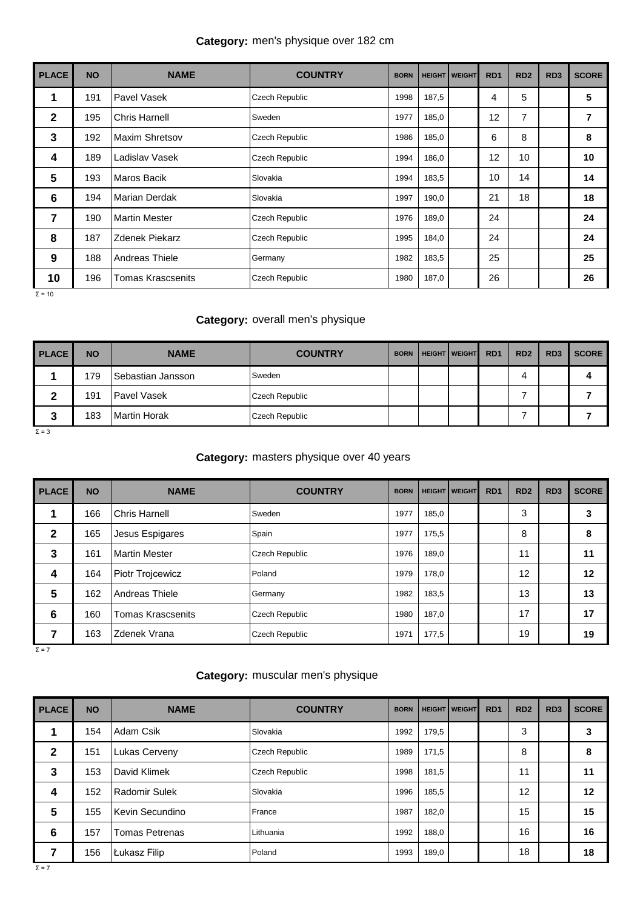## **Category:** men's physique over 182 cm

| <b>PLACE</b>    | <b>NO</b> | <b>NAME</b>           | <b>COUNTRY</b>        | <b>BORN</b> |       | <b>HEIGHT   WEIGHT</b> | RD <sub>1</sub> | RD <sub>2</sub> | RD <sub>3</sub> | <b>SCORE</b> |
|-----------------|-----------|-----------------------|-----------------------|-------------|-------|------------------------|-----------------|-----------------|-----------------|--------------|
| 1               | 191       | Pavel Vasek           | <b>Czech Republic</b> | 1998        | 187,5 |                        | 4               | 5               |                 | 5            |
| $\mathbf{2}$    | 195       | <b>Chris Harnell</b>  | Sweden                | 1977        | 185,0 |                        | 12              | 7               |                 | 7            |
| 3               | 192       | <b>Maxim Shretsov</b> | Czech Republic        | 1986        | 185,0 |                        | 6               | 8               |                 | 8            |
| 4               | 189       | Ladislav Vasek        | <b>Czech Republic</b> | 1994        | 186,0 |                        | 12              | 10              |                 | 10           |
| 5               | 193       | Maros Bacik           | Slovakia              | 1994        | 183,5 |                        | 10              | 14              |                 | 14           |
| $6\phantom{1}6$ | 194       | Marian Derdak         | Slovakia              | 1997        | 190,0 |                        | 21              | 18              |                 | 18           |
| 7               | 190       | <b>Martin Mester</b>  | Czech Republic        | 1976        | 189,0 |                        | 24              |                 |                 | 24           |
| 8               | 187       | <b>Zdenek Piekarz</b> | <b>Czech Republic</b> | 1995        | 184,0 |                        | 24              |                 |                 | 24           |
| 9               | 188       | Andreas Thiele        | Germany               | 1982        | 183,5 |                        | 25              |                 |                 | 25           |
| 10              | 196       | Tomas Krascsenits     | <b>Czech Republic</b> | 1980        | 187,0 |                        | 26              |                 |                 | 26           |

 $Σ = 10$ 

#### **Category:** overall men's physique

| <b>PLACE</b> | <b>NO</b> | <b>NAME</b>         | <b>COUNTRY</b> | <b>BORN</b> | <b>HEIGHT   WEIGHT</b> | R <sub>D</sub> 1 | RD <sub>2</sub> | RD <sub>3</sub> | <b>SCORE</b> |
|--------------|-----------|---------------------|----------------|-------------|------------------------|------------------|-----------------|-----------------|--------------|
|              | 179       | ISebastian Jansson  | Sweden         |             |                        |                  | Δ               |                 | 4            |
| ◠<br>L       | 191       | Pavel Vasek         | Czech Republic |             |                        |                  |                 |                 |              |
| 3            | 183       | <b>Martin Horak</b> | Czech Republic |             |                        |                  |                 |                 |              |

 $Σ = 3$ 

#### **Category:** masters physique over 40 years

| <b>PLACE</b> | <b>NO</b> | <b>NAME</b>              | <b>COUNTRY</b>        | <b>BORN</b> |       | <b>HEIGHT   WEIGHT</b> | R <sub>D</sub> 1 | RD <sub>2</sub> | RD <sub>3</sub> | <b>SCORE</b> |
|--------------|-----------|--------------------------|-----------------------|-------------|-------|------------------------|------------------|-----------------|-----------------|--------------|
|              | 166       | <b>Chris Harnell</b>     | Sweden                | 1977        | 185,0 |                        |                  | 3               |                 | 3            |
| 2            | 165       | Jesus Espigares          | Spain                 | 1977        | 175,5 |                        |                  | 8               |                 | 8            |
| 3            | 161       | <b>Martin Mester</b>     | <b>Czech Republic</b> | 1976        | 189,0 |                        |                  | 11              |                 | 11           |
| 4            | 164       | <b>Piotr Trojcewicz</b>  | Poland                | 1979        | 178,0 |                        |                  | 12              |                 | 12           |
| 5            | 162       | <b>Andreas Thiele</b>    | Germany               | 1982        | 183,5 |                        |                  | 13              |                 | 13           |
| 6            | 160       | <b>Tomas Krascsenits</b> | <b>Czech Republic</b> | 1980        | 187,0 |                        |                  | 17              |                 | 17           |
|              | 163       | <b>Zdenek Vrana</b>      | <b>Czech Republic</b> | 1971        | 177,5 |                        |                  | 19              |                 | 19           |

 $Σ = 7$ 

#### **Category:** muscular men's physique

| <b>PLACE</b> | <b>NO</b> | <b>NAME</b>           | <b>COUNTRY</b>        | <b>BORN</b> |       | <b>HEIGHT   WEIGHT</b> | R <sub>D</sub> 1 | RD <sub>2</sub> | RD <sub>3</sub> | <b>SCORE</b> |
|--------------|-----------|-----------------------|-----------------------|-------------|-------|------------------------|------------------|-----------------|-----------------|--------------|
|              | 154       | Adam Csik             | Slovakia              | 1992        | 179,5 |                        |                  | 3               |                 | 3            |
| $\mathbf{2}$ | 151       | Lukas Cerveny         | <b>Czech Republic</b> | 1989        | 171,5 |                        |                  | 8               |                 | 8            |
| 3            | 153       | David Klimek          | <b>Czech Republic</b> | 1998        | 181,5 |                        |                  | 11              |                 | 11           |
| 4            | 152       | Radomir Sulek         | Slovakia              | 1996        | 185,5 |                        |                  | 12              |                 | 12           |
| 5            | 155       | Kevin Secundino       | France                | 1987        | 182,0 |                        |                  | 15              |                 | 15           |
| 6            | 157       | <b>Tomas Petrenas</b> | Lithuania             | 1992        | 188,0 |                        |                  | 16              |                 | 16           |
| 7            | 156       | Łukasz Filip          | Poland                | 1993        | 189,0 |                        |                  | 18              |                 | 18           |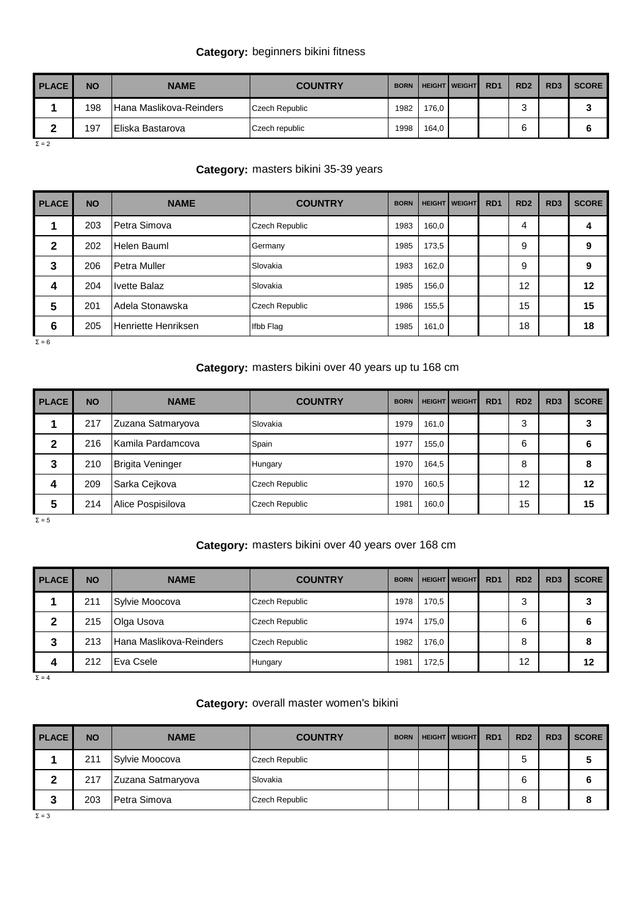# **Category:** beginners bikini fitness

| <b>PLACE</b> | <b>NO</b> | <b>NAME</b>              | <b>COUNTRY</b>        | <b>BORN</b> |       | <b>HEIGHT WEIGHT</b> | RD <sub>1</sub> | RD <sub>2</sub> | RD <sub>3</sub> | <b>SCORE</b> |
|--------------|-----------|--------------------------|-----------------------|-------------|-------|----------------------|-----------------|-----------------|-----------------|--------------|
|              | 198       | lHana Maslikova-Reinders | <b>Czech Republic</b> | 1982        | 176,0 |                      |                 |                 |                 | u            |
|              | 197       | IEliska Bastarova        | Czech republic        | 1998        | 164.0 |                      |                 | ົ               |                 |              |

 $Σ = 2$ 

## **Category:** masters bikini 35-39 years

| <b>PLACE</b> | <b>NO</b> | <b>NAME</b>         | <b>COUNTRY</b> | <b>BORN</b> |       | <b>HEIGHT WEIGHT</b> | R <sub>D</sub> 1 | RD <sub>2</sub> | RD <sub>3</sub> | <b>SCORE</b> |
|--------------|-----------|---------------------|----------------|-------------|-------|----------------------|------------------|-----------------|-----------------|--------------|
|              | 203       | Petra Simova        | Czech Republic | 1983        | 160,0 |                      |                  | 4               |                 |              |
| 2            | 202       | Helen Bauml         | Germany        | 1985        | 173,5 |                      |                  | 9               |                 | 9            |
| 3            | 206       | lPetra Muller       | Slovakia       | 1983        | 162,0 |                      |                  | 9               |                 | 9            |
| 4            | 204       | <b>Ivette Balaz</b> | Slovakia       | 1985        | 156,0 |                      |                  | 12              |                 | 12           |
| 5            | 201       | Adela Stonawska     | Czech Republic | 1986        | 155,5 |                      |                  | 15              |                 | 15           |
| 6            | 205       | Henriette Henriksen | Ifbb Flag      | 1985        | 161,0 |                      |                  | 18              |                 | 18           |

 $Σ = 6$ 

# **Category:** masters bikini over 40 years up tu 168 cm

| <b>PLACE</b> | <b>NO</b> | <b>NAME</b>             | <b>COUNTRY</b> | <b>BORN</b> |       | <b>HEIGHT   WEIGHT</b> | RD <sub>1</sub> | RD <sub>2</sub> | RD <sub>3</sub> | <b>SCORE</b> |
|--------------|-----------|-------------------------|----------------|-------------|-------|------------------------|-----------------|-----------------|-----------------|--------------|
|              | 217       | Zuzana Satmaryova       | Slovakia       | 1979        | 161,0 |                        |                 | 3               |                 |              |
| 2            | 216       | Kamila Pardamcova       | Spain          | 1977        | 155,0 |                        |                 | 6               |                 | b            |
| 3            | 210       | <b>Brigita Veninger</b> | Hungary        | 1970        | 164,5 |                        |                 | 8               |                 | 8            |
| 4            | 209       | Sarka Cejkova           | Czech Republic | 1970        | 160,5 |                        |                 | 12              |                 | 12           |
| 5            | 214       | Alice Pospisilova       | Czech Republic | 1981        | 160,0 |                        |                 | 15              |                 | 15           |

Σ = 5

## **Category:** masters bikini over 40 years over 168 cm

| <b>PLACE</b> | <b>NO</b> | <b>NAME</b>             | <b>COUNTRY</b> | <b>BORN</b> |       | <b>HEIGHT   WEIGHT</b> | RD <sub>1</sub> | RD <sub>2</sub> | RD <sub>3</sub> | <b>SCORE</b> |
|--------------|-----------|-------------------------|----------------|-------------|-------|------------------------|-----------------|-----------------|-----------------|--------------|
|              | 211       | Sylvie Moocova          | Czech Republic | 1978        | 170.5 |                        |                 | ◠<br>٠J         |                 | J            |
| 2            | 215       | Olga Usova              | Czech Republic | 1974        | 175.0 |                        |                 | 6               |                 | 6            |
| 3            | 213       | Hana Maslikova-Reinders | Czech Republic | 1982        | 176.0 |                        |                 | 8               |                 | 8            |
| 4            | 212       | Eva Csele               | Hungary        | 1981        | 172,5 |                        |                 | 12              |                 | 12           |

Σ = 4

## **Category:** overall master women's bikini

| <b>PLACE</b> | <b>NO</b> | <b>NAME</b>       | <b>COUNTRY</b> | <b>BORN</b> | <b>HEIGHT   WEIGHT</b> | RD <sub>1</sub> | RD <sub>2</sub> | RD <sub>3</sub> | <b>SCORE</b> |
|--------------|-----------|-------------------|----------------|-------------|------------------------|-----------------|-----------------|-----------------|--------------|
|              | 211       | Sylvie Moocova    | Czech Republic |             |                        |                 | 5               |                 | ÷            |
|              | 217       | Zuzana Satmaryova | Slovakia       |             |                        |                 | 6               |                 | b            |
| J            | 203       | Petra Simova      | Czech Republic |             |                        |                 |                 |                 | 8            |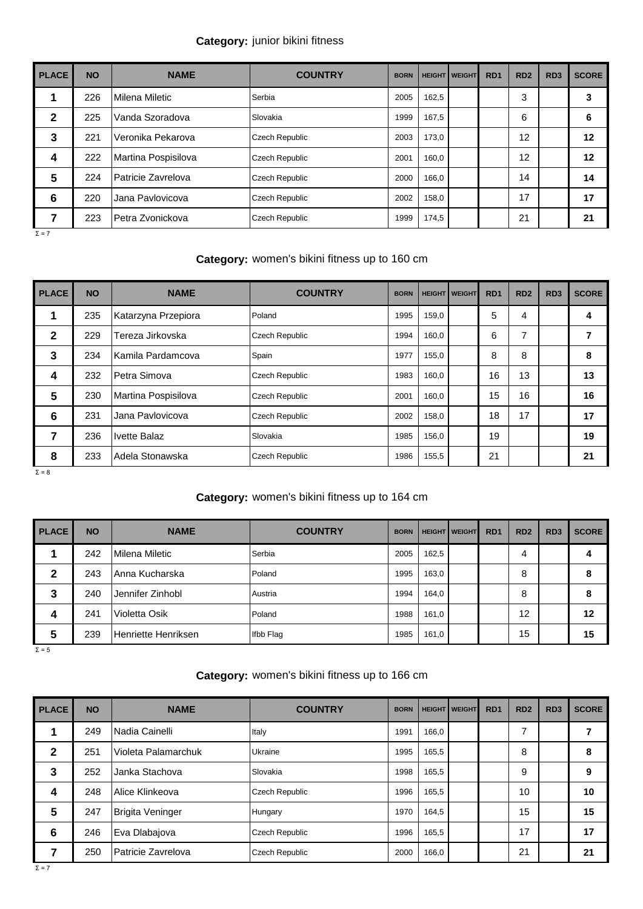## **Category:** junior bikini fitness

| <b>PLACE</b> | <b>NO</b> | <b>NAME</b>         | <b>COUNTRY</b>        | <b>BORN</b> |       | <b>HEIGHT   WEIGHT</b> | R <sub>D</sub> 1 | RD <sub>2</sub> | RD <sub>3</sub> | <b>SCORE</b> |
|--------------|-----------|---------------------|-----------------------|-------------|-------|------------------------|------------------|-----------------|-----------------|--------------|
| 1            | 226       | Milena Miletic      | Serbia                | 2005        | 162,5 |                        |                  | 3               |                 | 3            |
| $\mathbf{2}$ | 225       | Vanda Szoradova     | Slovakia              | 1999        | 167,5 |                        |                  | 6               |                 | 6            |
| 3            | 221       | Veronika Pekarova   | <b>Czech Republic</b> | 2003        | 173,0 |                        |                  | 12              |                 | 12           |
| 4            | 222       | Martina Pospisilova | <b>Czech Republic</b> | 2001        | 160,0 |                        |                  | 12              |                 | 12           |
| 5            | 224       | Patricie Zavrelova  | <b>Czech Republic</b> | 2000        | 166,0 |                        |                  | 14              |                 | 14           |
| 6            | 220       | Jana Pavlovicova    | <b>Czech Republic</b> | 2002        | 158,0 |                        |                  | 17              |                 | 17           |
| 7            | 223       | IPetra Zvonickova   | <b>Czech Republic</b> | 1999        | 174,5 |                        |                  | 21              |                 | 21           |

 $Σ = 7$ 

## **Category:** women's bikini fitness up to 160 cm

| <b>PLACE</b> | <b>NO</b> | <b>NAME</b>         | <b>COUNTRY</b>        | <b>BORN</b> |       | <b>HEIGHT   WEIGHT</b> | RD <sub>1</sub> | RD <sub>2</sub> | RD <sub>3</sub> | <b>SCORE</b> |
|--------------|-----------|---------------------|-----------------------|-------------|-------|------------------------|-----------------|-----------------|-----------------|--------------|
| 1            | 235       | Katarzyna Przepiora | Poland                | 1995        | 159,0 |                        | 5               | 4               |                 | 4            |
| $\mathbf{2}$ | 229       | Tereza Jirkovska    | <b>Czech Republic</b> | 1994        | 160,0 |                        | 6               | 7               |                 | 7            |
| 3            | 234       | Kamila Pardamcova   | Spain                 | 1977        | 155,0 |                        | 8               | 8               |                 | 8            |
| 4            | 232       | l Petra Simova      | <b>Czech Republic</b> | 1983        | 160,0 |                        | 16              | 13              |                 | 13           |
| 5            | 230       | Martina Pospisilova | <b>Czech Republic</b> | 2001        | 160,0 |                        | 15              | 16              |                 | 16           |
| 6            | 231       | Jana Pavlovicova    | <b>Czech Republic</b> | 2002        | 158,0 |                        | 18              | 17              |                 | 17           |
| 7            | 236       | <b>Ivette Balaz</b> | Slovakia              | 1985        | 156,0 |                        | 19              |                 |                 | 19           |
| 8            | 233       | Adela Stonawska     | Czech Republic        | 1986        | 155,5 |                        | 21              |                 |                 | 21           |

Σ = 8

## **Category:** women's bikini fitness up to 164 cm

| <b>PLACE</b> | <b>NO</b> | <b>NAME</b>         | <b>COUNTRY</b> | <b>BORN</b> |       | <b>HEIGHT   WEIGHT</b> | R <sub>D</sub> 1 | RD <sub>2</sub> | RD <sub>3</sub> | <b>SCORE</b> |
|--------------|-----------|---------------------|----------------|-------------|-------|------------------------|------------------|-----------------|-----------------|--------------|
|              | 242       | Milena Miletic      | Serbia         | 2005        | 162,5 |                        |                  | 4               |                 |              |
| 2            | 243       | IAnna Kucharska     | Poland         | 1995        | 163,0 |                        |                  | 8               |                 |              |
| 3            | 240       | Jennifer Zinhobl    | Austria        | 1994        | 164,0 |                        |                  | 8               |                 | 8            |
| 4            | 241       | Violetta Osik       | Poland         | 1988        | 161,0 |                        |                  | 12              |                 | 12           |
| 5            | 239       | Henriette Henriksen | Ifbb Flag      | 1985        | 161,0 |                        |                  | 15              |                 | 15           |

 $Σ = 5$ 

## **Category:** women's bikini fitness up to 166 cm

| <b>PLACE</b> | <b>NO</b> | <b>NAME</b>          | <b>COUNTRY</b>        | <b>BORN</b> |       | <b>HEIGHT   WEIGHT</b> | RD <sub>1</sub> | RD <sub>2</sub> | RD <sub>3</sub> | <b>SCORE</b> |
|--------------|-----------|----------------------|-----------------------|-------------|-------|------------------------|-----------------|-----------------|-----------------|--------------|
|              | 249       | Nadia Cainelli       | Italy                 | 1991        | 166,0 |                        |                 | 7               |                 |              |
| $\mathbf{2}$ | 251       | lVioleta Palamarchuk | Ukraine               | 1995        | 165,5 |                        |                 | 8               |                 | 8            |
| 3            | 252       | Janka Stachova       | Slovakia              | 1998        | 165,5 |                        |                 | 9               |                 | 9            |
| 4            | 248       | Alice Klinkeova      | Czech Republic        | 1996        | 165,5 |                        |                 | 10              |                 | 10           |
| 5            | 247       | Brigita Veninger     | Hungary               | 1970        | 164,5 |                        |                 | 15              |                 | 15           |
| 6            | 246       | Eva Dlabajova        | Czech Republic        | 1996        | 165,5 |                        |                 | 17              |                 | 17           |
| 7            | 250       | Patricie Zavrelova   | <b>Czech Republic</b> | 2000        | 166,0 |                        |                 | 21              |                 | 21           |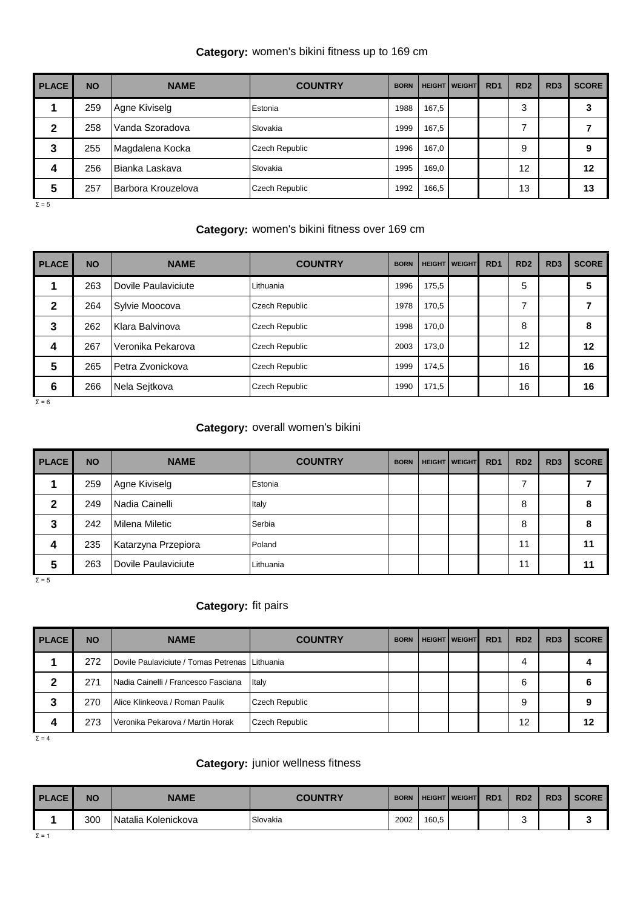## **Category:** women's bikini fitness up to 169 cm

| <b>PLACE</b> | <b>NO</b> | <b>NAME</b>        | <b>COUNTRY</b> | <b>BORN</b> |       | <b>HEIGHT   WEIGHT</b> | R <sub>D</sub> 1 | RD <sub>2</sub> | RD <sub>3</sub> | <b>SCORE</b> |
|--------------|-----------|--------------------|----------------|-------------|-------|------------------------|------------------|-----------------|-----------------|--------------|
|              | 259       | Agne Kiviselg      | Estonia        | 1988        | 167,5 |                        |                  | 3               |                 |              |
| 2            | 258       | Vanda Szoradova    | Slovakia       | 1999        | 167,5 |                        |                  |                 |                 |              |
| 3            | 255       | Magdalena Kocka    | Czech Republic | 1996        | 167,0 |                        |                  | 9               |                 | 9            |
| 4            | 256       | IBianka Laskava    | Slovakia       | 1995        | 169,0 |                        |                  | 12              |                 | 12           |
| 5            | 257       | Barbora Krouzelova | Czech Republic | 1992        | 166,5 |                        |                  | 13              |                 | 13           |

 $Σ = 5$ 

## **Category:** women's bikini fitness over 169 cm

| <b>PLACE</b><br>ı | <b>NO</b> | <b>NAME</b>         | <b>COUNTRY</b>        | <b>BORN</b> |       | <b>HEIGHT   WEIGHT</b> | RD <sub>1</sub> | RD <sub>2</sub> | RD <sub>3</sub> | <b>SCORE</b> |
|-------------------|-----------|---------------------|-----------------------|-------------|-------|------------------------|-----------------|-----------------|-----------------|--------------|
|                   | 263       | Dovile Paulaviciute | Lithuania             | 1996        | 175.5 |                        |                 | 5               |                 | 5            |
| 2                 | 264       | Sylvie Moocova      | <b>Czech Republic</b> | 1978        | 170.5 |                        |                 |                 |                 |              |
| 3                 | 262       | Klara Balvinova     | <b>Czech Republic</b> | 1998        | 170.0 |                        |                 | 8               |                 | 8            |
| 4                 | 267       | Veronika Pekarova   | <b>Czech Republic</b> | 2003        | 173.0 |                        |                 | 12              |                 | 12           |
| 5                 | 265       | Petra Zvonickova    | Czech Republic        | 1999        | 174.5 |                        |                 | 16              |                 | 16           |
| 6                 | 266       | Nela Sejtkova       | Czech Republic        | 1990        | 171,5 |                        |                 | 16              |                 | 16           |

 $Σ = 6$ 

#### **Category:** overall women's bikini

| <b>PLACE</b> | <b>NO</b> | <b>NAME</b>         | <b>COUNTRY</b> | <b>BORN</b> | <b>HEIGHT   WEIGHT</b> | RD <sub>1</sub> | RD <sub>2</sub> | RD <sub>3</sub> | <b>SCORE</b> |
|--------------|-----------|---------------------|----------------|-------------|------------------------|-----------------|-----------------|-----------------|--------------|
|              | 259       | Agne Kiviselg       | Estonia        |             |                        |                 |                 |                 |              |
| 2            | 249       | Nadia Cainelli      | Italy          |             |                        |                 | 8               |                 | 8            |
| 3            | 242       | Milena Miletic      | Serbia         |             |                        |                 | 8               |                 | 8            |
| 4            | 235       | Katarzyna Przepiora | Poland         |             |                        |                 | 11              |                 | 11           |
| 5            | 263       | Dovile Paulaviciute | Lithuania      |             |                        |                 | 11              |                 | 11           |

 $Σ = 5$ 

#### **Category:** fit pairs

| <b>PLACE</b> | <b>NO</b> | <b>NAME</b>                                    | <b>COUNTRY</b>        | <b>BORN</b> | <b>HEIGHT   WEIGHT</b> | R <sub>D</sub> <sub>1</sub> | RD <sub>2</sub> | RD <sub>3</sub> | <b>SCORE</b> |
|--------------|-----------|------------------------------------------------|-----------------------|-------------|------------------------|-----------------------------|-----------------|-----------------|--------------|
|              | 272       | Dovile Paulaviciute / Tomas Petrenas Lithuania |                       |             |                        |                             | 4               |                 |              |
|              | 271       | Nadia Cainelli / Francesco Fasciana            | Italy                 |             |                        |                             | 6               |                 | o            |
| 3            | 270       | Alice Klinkeova / Roman Paulik                 | <b>Czech Republic</b> |             |                        |                             | 9               |                 | 9            |
| 4            | 273       | IVeronika Pekarova / Martin Horak              | <b>Czech Republic</b> |             |                        |                             | 12              |                 | 12           |

 $Σ = 4$ 

#### **Category:** junior wellness fitness

| <b>PLACE</b> | <b>NO</b> | <b>NAME</b>          | <b>COUNTRY</b> | <b>BORN</b> |       | <b>HEIGHT   WEIGHT</b> | R <sub>D</sub> 1 | RD <sub>2</sub> | RD <sub>3</sub> | <b>SCORE</b> |
|--------------|-----------|----------------------|----------------|-------------|-------|------------------------|------------------|-----------------|-----------------|--------------|
|              | 300       | INatalia Kolenickova | Slovakia       | 2002        | 160,5 |                        |                  | ີ               |                 | $\bullet$    |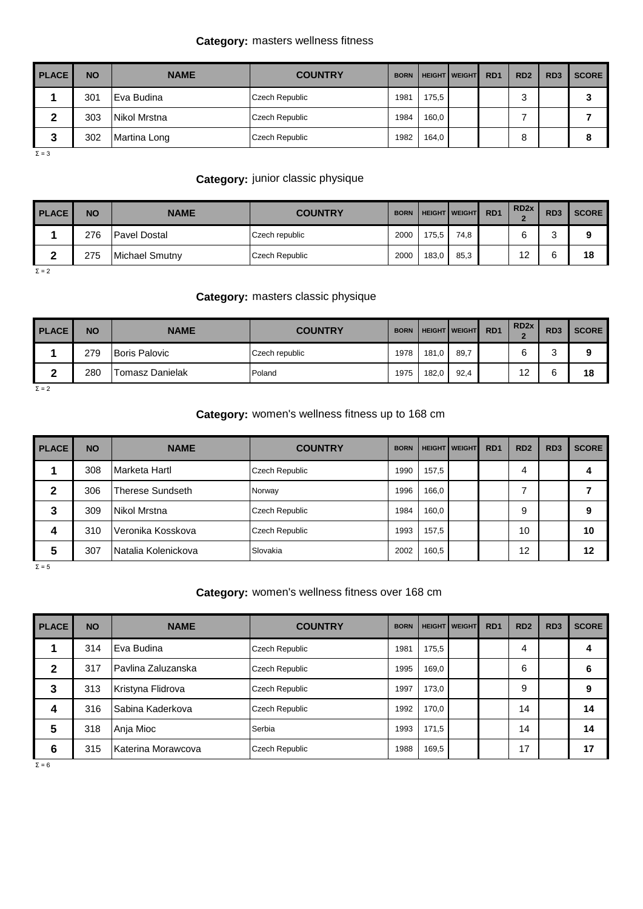## **Category:** masters wellness fitness

| <b>PLACE</b> | <b>NO</b> | <b>NAME</b>  | <b>COUNTRY</b> | <b>BORN</b> |       | <b>HEIGHT   WEIGHT</b> | R <sub>D</sub> 1 | RD <sub>2</sub> | RD <sub>3</sub> | <b>SCORE</b> |
|--------------|-----------|--------------|----------------|-------------|-------|------------------------|------------------|-----------------|-----------------|--------------|
|              | 301       | IEva Budina  | Czech Republic | 1981        | 175,5 |                        |                  | ົ<br>ت          |                 | o            |
| ◠            | 303       | Nikol Mrstna | Czech Republic | 1984        | 160,0 |                        |                  |                 |                 |              |
| 2<br>J       | 302       | Martina Long | Czech Republic | 1982        | 164,0 |                        |                  |                 |                 | 8            |

Σ = 3

# **Category:** junior classic physique

| <b>PLACE</b> | NΟ  | <b>NAME</b>            | <b>COUNTRY</b>        | <b>BORN</b> |       | <b>HEIGHT WEIGHT</b> | R <sub>D</sub> 1 | RD <sub>2x</sub> | RD <sub>3</sub> | <b>SCORE</b> |
|--------------|-----|------------------------|-----------------------|-------------|-------|----------------------|------------------|------------------|-----------------|--------------|
|              | 276 | <b>Pavel Dostal</b>    | Czech republic        | 2000        | 175,5 | 74.8                 |                  | ี                | ົ<br>∼          | 9            |
|              | 275 | <b>IMichael Smutny</b> | <b>Czech Republic</b> | 2000        | 183,0 | 85,3                 |                  | 12               | 6               | 18           |

 $Σ = 2$ 

#### **Category:** masters classic physique

| <b>PLACE</b> | <b>NO</b> | <b>NAME</b>          | <b>COUNTRY</b> | <b>BORN</b> |       | <b>HEIGHT   WEIGHT</b> | R <sub>D</sub> 1 | RD <sub>2x</sub> | RD <sub>3</sub>               | <b>SCORE</b> |
|--------------|-----------|----------------------|----------------|-------------|-------|------------------------|------------------|------------------|-------------------------------|--------------|
|              | 279       | <b>Boris Palovic</b> | Czech republic | 1978        | 181,0 | 89,7                   |                  | ຨ                | ີ<br>$\overline{\phantom{a}}$ | o<br>÷       |
| -            | 280       | Tomasz Danielak      | Poland         | 1975        | 182,0 | 92.4                   |                  | 12               | ี                             | 18           |

 $Σ = 2$ 

## **Category:** women's wellness fitness up to 168 cm

| <b>PLACE</b> | <b>NO</b> | <b>NAME</b>             | <b>COUNTRY</b>        | <b>BORN</b> |       | <b>HEIGHT   WEIGHT</b> | RD <sub>1</sub> | RD <sub>2</sub> | RD <sub>3</sub> | <b>SCORE</b> |
|--------------|-----------|-------------------------|-----------------------|-------------|-------|------------------------|-----------------|-----------------|-----------------|--------------|
|              | 308       | Marketa Hartl           | <b>Czech Republic</b> | 1990        | 157,5 |                        |                 | 4               |                 |              |
| 2            | 306       | <b>Therese Sundseth</b> | Norway                | 1996        | 166,0 |                        |                 | ⇁               |                 |              |
| 3            | 309       | Nikol Mrstna            | Czech Republic        | 1984        | 160.0 |                        |                 | 9               |                 | 9            |
| 4            | 310       | Veronika Kosskova       | <b>Czech Republic</b> | 1993        | 157,5 |                        |                 | 10              |                 | 10           |
| 5            | 307       | INatalia Kolenickova    | Slovakia              | 2002        | 160,5 |                        |                 | 12              |                 | 12           |
| $\Sigma = 5$ |           |                         |                       |             |       |                        |                 |                 |                 |              |

#### **Category:** women's wellness fitness over 168 cm

| <b>PLACE</b> | <b>NO</b> | <b>NAME</b>         | <b>COUNTRY</b> | <b>BORN</b> |       | <b>HEIGHT   WEIGHT</b> | RD <sub>1</sub> | RD <sub>2</sub> | RD <sub>3</sub> | <b>SCORE</b> |
|--------------|-----------|---------------------|----------------|-------------|-------|------------------------|-----------------|-----------------|-----------------|--------------|
|              | 314       | lEva Budina         | Czech Republic | 1981        | 175,5 |                        |                 | 4               |                 |              |
| 2            | 317       | IPavlina Zaluzanska | Czech Republic | 1995        | 169,0 |                        |                 | 6               |                 | o            |
| 3            | 313       | Kristyna Flidrova   | Czech Republic | 1997        | 173,0 |                        |                 | 9               |                 | 9            |
| 4            | 316       | Sabina Kaderkova    | Czech Republic | 1992        | 170.0 |                        |                 | 14              |                 | 14           |
| 5            | 318       | Anja Mioc           | Serbia         | 1993        | 171,5 |                        |                 | 14              |                 | 14           |
| 6            | 315       | Katerina Morawcova  | Czech Republic | 1988        | 169,5 |                        |                 | 17              |                 | 17           |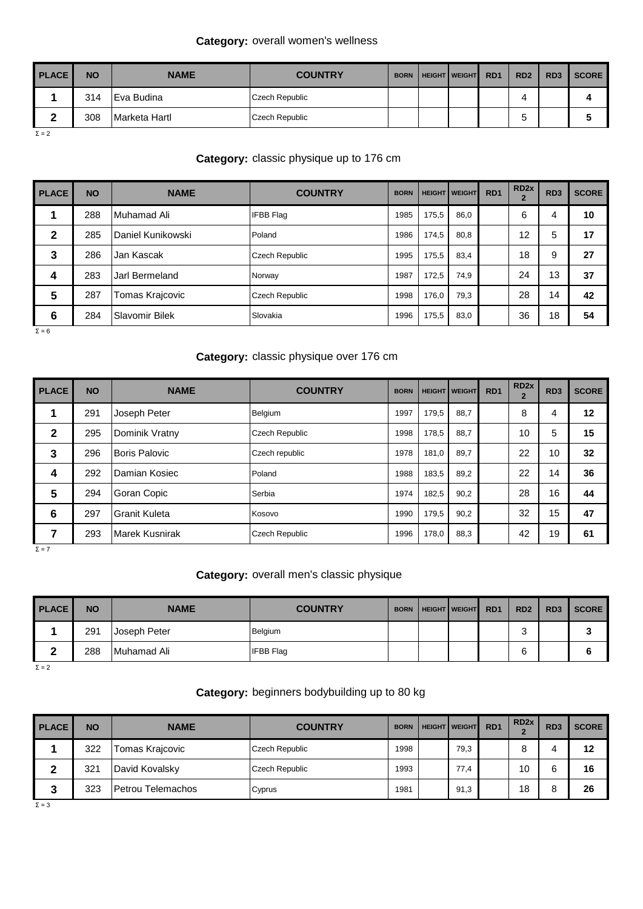## **Category:** overall women's wellness

| <b>PLACE</b> | <b>NO</b> | <b>NAME</b>   | <b>COUNTRY</b> | <b>BORN</b> | <b>HEIGHT WEIGHT</b> | R <sub>D</sub> 1 | RD <sub>2</sub> | RD <sub>3</sub> | <b>SCORE</b>         |
|--------------|-----------|---------------|----------------|-------------|----------------------|------------------|-----------------|-----------------|----------------------|
|              | 314       | Eva Budina    | Czech Republic |             |                      |                  |                 |                 | 4                    |
| ົ            | 308       | Marketa Hartl | Czech Republic |             |                      |                  |                 |                 | $\ddot{\phantom{a}}$ |

 $Σ = 2$ 

# **Category:** classic physique up to 176 cm

| <b>PLACE</b> | <b>NO</b> | <b>NAME</b>       | <b>COUNTRY</b>        | <b>BORN</b> |       | <b>HEIGHT   WEIGHT</b> | RD <sub>1</sub> | RD <sub>2x</sub> | RD <sub>3</sub> | <b>SCORE</b> |
|--------------|-----------|-------------------|-----------------------|-------------|-------|------------------------|-----------------|------------------|-----------------|--------------|
|              | 288       | Muhamad Ali       | <b>IFBB Flag</b>      | 1985        | 175.5 | 86,0                   |                 | 6                | 4               | 10           |
| 2            | 285       | Daniel Kunikowski | Poland                | 1986        | 174,5 | 80,8                   |                 | 12               | 5               | 17           |
| 3            | 286       | Jan Kascak        | <b>Czech Republic</b> | 1995        | 175.5 | 83.4                   |                 | 18               | 9               | 27           |
| 4            | 283       | Jarl Bermeland    | Norway                | 1987        | 172.5 | 74.9                   |                 | 24               | 13              | 37           |
| 5            | 287       | Tomas Krajcovic   | <b>Czech Republic</b> | 1998        | 176.0 | 79,3                   |                 | 28               | 14              | 42           |
| 6            | 284       | Slavomir Bilek    | Slovakia              | 1996        | 175,5 | 83,0                   |                 | 36               | 18              | 54           |

 $Σ = 6$ 

# **Category:** classic physique over 176 cm

| <b>PLACE</b> | <b>NO</b> | <b>NAME</b>           | <b>COUNTRY</b>        | <b>BORN</b> |       | <b>HEIGHT   WEIGHT</b> | RD <sub>1</sub> | RD <sub>2x</sub><br>$\overline{2}$ | RD <sub>3</sub> | <b>SCORE</b> |
|--------------|-----------|-----------------------|-----------------------|-------------|-------|------------------------|-----------------|------------------------------------|-----------------|--------------|
|              | 291       | Joseph Peter          | Belgium               | 1997        | 179,5 | 88,7                   |                 | 8                                  | 4               | 12           |
| $\mathbf{2}$ | 295       | Dominik Vratny        | Czech Republic        | 1998        | 178,5 | 88,7                   |                 | 10                                 | 5               | 15           |
| 3            | 296       | Boris Palovic         | Czech republic        | 1978        | 181,0 | 89,7                   |                 | 22                                 | 10              | 32           |
| 4            | 292       | <b>Damian Kosiec</b>  | Poland                | 1988        | 183,5 | 89,2                   |                 | 22                                 | 14              | 36           |
| 5            | 294       | Goran Copic           | Serbia                | 1974        | 182,5 | 90,2                   |                 | 28                                 | 16              | 44           |
| 6            | 297       | Granit Kuleta         | Kosovo                | 1990        | 179.5 | 90,2                   |                 | 32                                 | 15              | 47           |
| 7            | 293       | <b>Marek Kusnirak</b> | <b>Czech Republic</b> | 1996        | 178,0 | 88,3                   |                 | 42                                 | 19              | 61           |

 $Σ = 7$ 

## **Category:** overall men's classic physique

| <b>PLACE</b> | <b>NO</b> | <b>NAME</b>  | <b>COUNTRY</b>   | <b>BORN</b> | <b>HEIGHT   WEIGHT</b> | R <sub>D</sub> 1 | RD <sub>2</sub> | RD <sub>3</sub> | <b>SCORE</b> |
|--------------|-----------|--------------|------------------|-------------|------------------------|------------------|-----------------|-----------------|--------------|
|              | 291       | Joseph Peter | Belgium          |             |                        |                  | ◠<br>ັ          |                 | w            |
| ◠<br>-       | 288       | Muhamad Ali  | <b>IFBB Flag</b> |             |                        |                  | ຨ               |                 | 6            |

 $Σ = 2$ 

## **Category:** beginners bodybuilding up to 80 kg

| <b>PLACE</b> | <b>NO</b> | <b>NAME</b>       | <b>COUNTRY</b> | <b>BORN</b> | <b>HEIGHT   WEIGHT</b> | R <sub>D</sub> 1 | RD <sub>2x</sub> | RD <sub>3</sub> | <b>SCORE</b> |
|--------------|-----------|-------------------|----------------|-------------|------------------------|------------------|------------------|-----------------|--------------|
|              | 322       | Tomas Krajcovic   | Czech Republic | 1998        | 79,3                   |                  |                  | 4               | 12           |
| ◠            | 321       | David Kovalsky    | Czech Republic | 1993        | 77,4                   |                  | 10               | ิค<br>u         | 16           |
| າ<br>٠J      | 323       | Petrou Telemachos | Cyprus         | 1981        | 91,3                   |                  | 18               | 8               | 26           |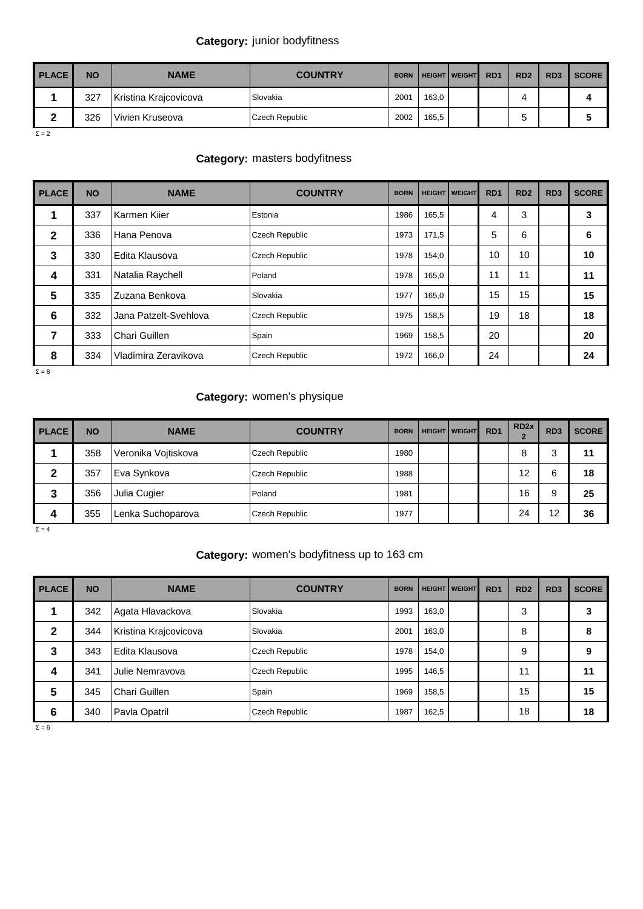## **Category:** junior bodyfitness

| <b>PLACE</b> | <b>NO</b> | <b>NAME</b>           | <b>COUNTRY</b> | <b>BORN</b> |       | <b>HEIGHT WEIGHT</b> | R <sub>D</sub> 1 | RD <sub>2</sub> | RD <sub>3</sub> | <b>SCORE</b> |
|--------------|-----------|-----------------------|----------------|-------------|-------|----------------------|------------------|-----------------|-----------------|--------------|
|              | 327       | Kristina Krajcovicova | Slovakia       | 2001        | 163.0 |                      |                  |                 |                 | д            |
|              | 326       | Vivien Kruseova       | Czech Republic | 2002        | 165.5 |                      |                  |                 |                 |              |

 $Σ = 2$ 

## **Category:** masters bodyfitness

| <b>PLACE</b> | <b>NO</b> | <b>NAME</b>           | <b>COUNTRY</b>        | <b>BORN</b> |       | <b>HEIGHT   WEIGHT</b> | R <sub>D</sub> 1 | RD <sub>2</sub> | RD <sub>3</sub> | <b>SCORE</b> |
|--------------|-----------|-----------------------|-----------------------|-------------|-------|------------------------|------------------|-----------------|-----------------|--------------|
|              | 337       | Karmen Kiier          | Estonia               | 1986        | 165,5 |                        | 4                | 3               |                 | 3            |
| $\mathbf{2}$ | 336       | Hana Penova           | <b>Czech Republic</b> | 1973        | 171,5 |                        | 5                | 6               |                 | 6            |
| 3            | 330       | IEdita Klausova       | <b>Czech Republic</b> | 1978        | 154,0 |                        | 10               | 10              |                 | 10           |
| 4            | 331       | Natalia Raychell      | Poland                | 1978        | 165,0 |                        | 11               | 11              |                 | 11           |
| 5            | 335       | Zuzana Benkova        | Slovakia              | 1977        | 165,0 |                        | 15               | 15              |                 | 15           |
| 6            | 332       | Jana Patzelt-Svehlova | <b>Czech Republic</b> | 1975        | 158,5 |                        | 19               | 18              |                 | 18           |
| 7            | 333       | Chari Guillen         | Spain                 | 1969        | 158,5 |                        | 20               |                 |                 | 20           |
| 8            | 334       | Vladimira Zeravikova  | <b>Czech Republic</b> | 1972        | 166,0 |                        | 24               |                 |                 | 24           |

 $Σ = 8$ 

## **Category:** women's physique

| <b>PLACE</b> | <b>NO</b> | <b>NAME</b>         | <b>COUNTRY</b>        | <b>BORN</b> | <b>HEIGHT   WEIGHT</b> | RD <sub>1</sub> | RD <sub>2x</sub><br>$\overline{2}$ | RD <sub>3</sub> | <b>SCORE</b> |
|--------------|-----------|---------------------|-----------------------|-------------|------------------------|-----------------|------------------------------------|-----------------|--------------|
|              | 358       | Veronika Vojtiskova | <b>Czech Republic</b> | 1980        |                        |                 | 8                                  | 3               | 11           |
|              | 357       | Eva Synkova         | Czech Republic        | 1988        |                        |                 | 12                                 | 6               | 18           |
| 3            | 356       | Julia Cugier        | Poland                | 1981        |                        |                 | 16                                 | 9               | 25           |
| 4            | 355       | Lenka Suchoparova   | Czech Republic        | 1977        |                        |                 | 24                                 | 12              | 36           |

 $Σ = 4$ 

#### **Category:** women's bodyfitness up to 163 cm

| <b>PLACE</b> | <b>NO</b> | <b>NAME</b>           | <b>COUNTRY</b> | <b>BORN</b> |       | <b>HEIGHT WEIGHT</b> | R <sub>D</sub> 1 | RD <sub>2</sub> | RD <sub>3</sub> | <b>SCORE</b> |
|--------------|-----------|-----------------------|----------------|-------------|-------|----------------------|------------------|-----------------|-----------------|--------------|
|              | 342       | Agata Hlavackova      | Slovakia       | 1993        | 163,0 |                      |                  | 3               |                 |              |
| 2            | 344       | Kristina Krajcovicova | Slovakia       | 2001        | 163.0 |                      |                  | 8               |                 | ö            |
| 3            | 343       | Edita Klausova        | Czech Republic | 1978        | 154.0 |                      |                  | 9               |                 | 9            |
| 4            | 341       | Julie Nemravova       | Czech Republic | 1995        | 146,5 |                      |                  | 11              |                 | 11           |
| 5            | 345       | Chari Guillen         | Spain          | 1969        | 158.5 |                      |                  | 15              |                 | 15           |
| 6            | 340       | Pavla Opatril         | Czech Republic | 1987        | 162,5 |                      |                  | 18              |                 | 18           |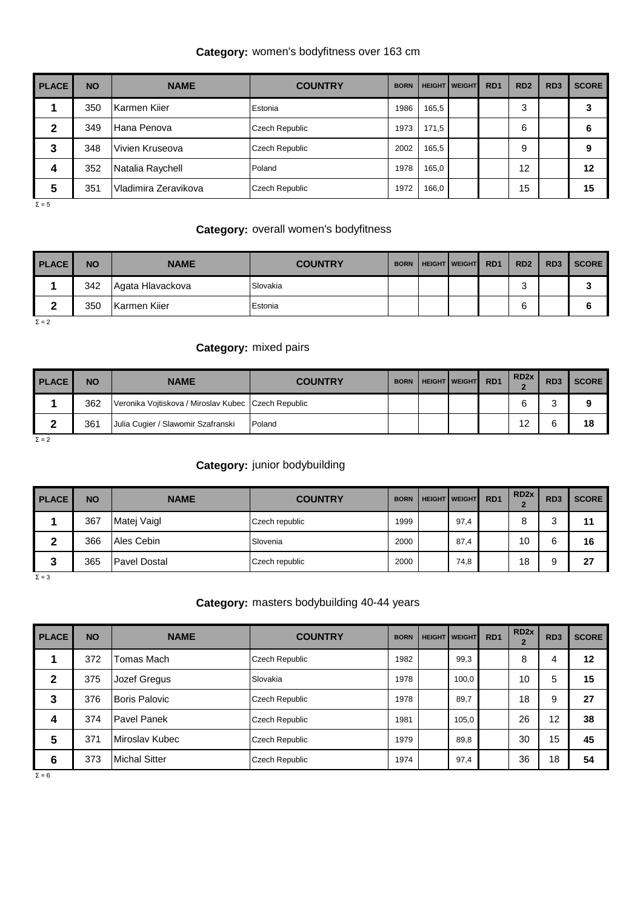## **Category:** women's bodyfitness over 163 cm

| <b>PLACE</b><br>ı | <b>NO</b> | <b>NAME</b>          | <b>COUNTRY</b>        | <b>BORN</b> |       | <b>HEIGHT   WEIGHT</b> | R <sub>D</sub> 1 | RD <sub>2</sub> | RD <sub>3</sub> | <b>SCORE</b> |
|-------------------|-----------|----------------------|-----------------------|-------------|-------|------------------------|------------------|-----------------|-----------------|--------------|
|                   | 350       | Karmen Kiier         | Estonia               | 1986        | 165,5 |                        |                  | 3               |                 |              |
| 2                 | 349       | Hana Penova          | Czech Republic        | 1973        | 171.5 |                        |                  | 6               |                 |              |
| 3                 | 348       | Vivien Kruseova      | <b>Czech Republic</b> | 2002        | 165,5 |                        |                  | 9               |                 |              |
| 4                 | 352       | Natalia Raychell     | Poland                | 1978        | 165,0 |                        |                  | 12              |                 | 12           |
| 5                 | 351       | Vladimira Zeravikova | <b>Czech Republic</b> | 1972        | 166,0 |                        |                  | 15              |                 | 15           |

 $Σ = 5$ 

#### **Category:** overall women's bodyfitness

| <b>PLACE</b> | <b>NO</b> | <b>NAME</b>      | <b>COUNTRY</b> | <b>BORN</b> | <b>HEIGHT   WEIGHT</b> | R <sub>D</sub> 1 | RD <sub>2</sub> | RD <sub>3</sub> | <b>SCORE</b> |
|--------------|-----------|------------------|----------------|-------------|------------------------|------------------|-----------------|-----------------|--------------|
|              | 342       | Agata Hlavackova | Slovakia       |             |                        |                  |                 |                 |              |
| ົ            | 350       | Karmen Kiier     | Estonia        |             |                        |                  | 6               |                 |              |

 $Σ = 2$ 

#### **Category:** mixed pairs

| <b>PLACE</b> | <b>NO</b> | <b>NAME</b>                                           | <b>COUNTRY</b> | <b>BORN</b> | <b>HEIGHT WEIGHT</b> | R <sub>D</sub> <sub>1</sub> | RD <sub>2x</sub> | RD <sub>3</sub> | <b>SCORE</b> |
|--------------|-----------|-------------------------------------------------------|----------------|-------------|----------------------|-----------------------------|------------------|-----------------|--------------|
|              | 362       | Veronika Vojtiskova / Miroslav Kubec   Czech Republic |                |             |                      |                             |                  | ⌒<br>s.         | 0            |
| ◠            | 361       | Julia Cugier / Slawomir Szafranski                    | Poland         |             |                      |                             | 12               | 6               | 18           |

 $\Sigma = 2$ 

#### **Category:** junior bodybuilding

| <b>PLACE</b> | <b>NO</b> | <b>NAME</b>         | <b>COUNTRY</b> | <b>BORN</b> | <b>HEIGHT   WEIGHT</b> | R <sub>D</sub> 1 | RD <sub>2x</sub> | RD <sub>3</sub> | <b>SCORE</b> |
|--------------|-----------|---------------------|----------------|-------------|------------------------|------------------|------------------|-----------------|--------------|
|              | 367       | Matej Vaigl         | Czech republic | 1999        | 97,4                   |                  |                  | ົ<br>ັ          | 11           |
| ◠            | 366       | Ales Cebin          | Slovenia       | 2000        | 87,4                   |                  | 10               | 6               | 16           |
| ∽<br>Ĵ٥      | 365       | <b>Pavel Dostal</b> | Czech republic | 2000        | 74,8                   |                  | 18               | ۰Q<br>c         | 27           |

 $Σ = 3$ 

#### **Category:** masters bodybuilding 40-44 years

| <b>PLACE</b> | <b>NO</b> | <b>NAME</b>          | <b>COUNTRY</b>        | <b>BORN</b> | <b>HEIGHT   WEIGHT</b> | RD <sub>1</sub> | RD <sub>2x</sub><br>$\mathbf{2}$ | RD <sub>3</sub> | <b>SCORE</b> |
|--------------|-----------|----------------------|-----------------------|-------------|------------------------|-----------------|----------------------------------|-----------------|--------------|
| 1            | 372       | Tomas Mach           | Czech Republic        | 1982        | 99,3                   |                 | 8                                | 4               | 12           |
| $\mathbf{2}$ | 375       | Jozef Gregus         | Slovakia              | 1978        | 100,0                  |                 | 10                               | 5               | 15           |
| 3            | 376       | Boris Palovic        | Czech Republic        | 1978        | 89,7                   |                 | 18                               | 9               | 27           |
| 4            | 374       | <b>Pavel Panek</b>   | Czech Republic        | 1981        | 105,0                  |                 | 26                               | 12              | 38           |
| 5            | 371       | Miroslav Kubec       | <b>Czech Republic</b> | 1979        | 89,8                   |                 | 30                               | 15              | 45           |
| 6            | 373       | <b>Michal Sitter</b> | Czech Republic        | 1974        | 97,4                   |                 | 36                               | 18              | 54           |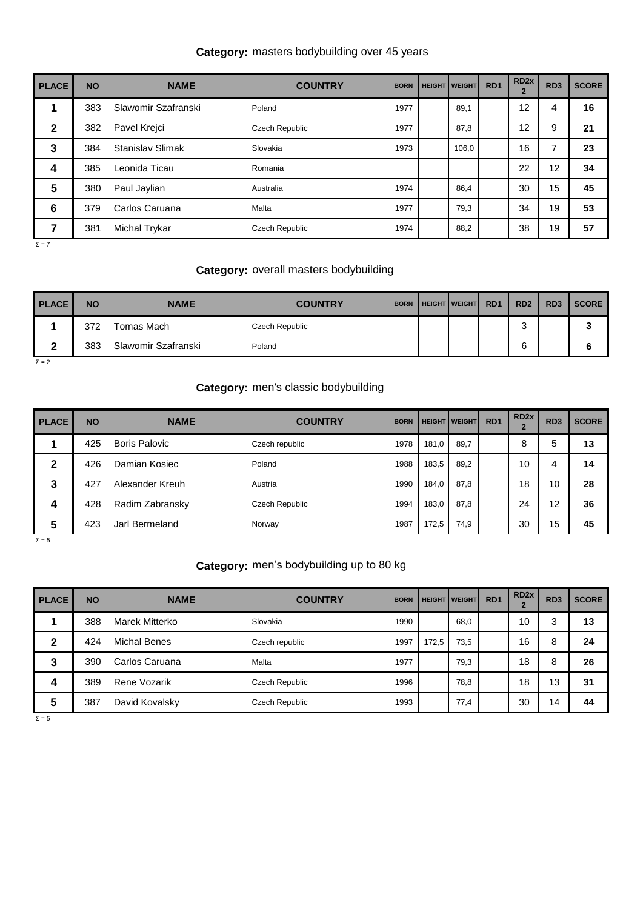## **Category:** masters bodybuilding over 45 years

| <b>PLACE</b> | <b>NO</b> | <b>NAME</b>          | <b>COUNTRY</b>        | <b>BORN</b> | <b>HEIGHT   WEIGHT</b> | RD <sub>1</sub> | RD <sub>2x</sub><br>$\overline{2}$ | RD <sub>3</sub> | <b>SCORE</b> |
|--------------|-----------|----------------------|-----------------------|-------------|------------------------|-----------------|------------------------------------|-----------------|--------------|
| 1            | 383       | Slawomir Szafranski  | Poland                | 1977        | 89,1                   |                 | 12                                 | 4               | 16           |
| $\mathbf{2}$ | 382       | Pavel Krejci         | <b>Czech Republic</b> | 1977        | 87,8                   |                 | 12                                 | 9               | 21           |
| 3            | 384       | Stanislav Slimak     | Slovakia              | 1973        | 106,0                  |                 | 16                                 | 7               | 23           |
| 4            | 385       | Leonida Ticau        | Romania               |             |                        |                 | 22                                 | 12              | 34           |
| 5            | 380       | Paul Jaylian         | Australia             | 1974        | 86,4                   |                 | 30                                 | 15              | 45           |
| 6            | 379       | Carlos Caruana       | Malta                 | 1977        | 79,3                   |                 | 34                                 | 19              | 53           |
| 7            | 381       | <b>Michal Trykar</b> | <b>Czech Republic</b> | 1974        | 88,2                   |                 | 38                                 | 19              | 57           |

 $Σ = 7$ 

#### **Category:** overall masters bodybuilding

|      |     |                            |                |  | R <sub>D</sub> 1<br><b>HEIGHT WEIGHT</b> | RD <sub>2</sub> | RD <sub>3</sub> | <b>SCORE</b> |
|------|-----|----------------------------|----------------|--|------------------------------------------|-----------------|-----------------|--------------|
|      | 372 | Tomas Mach                 | Czech Republic |  |                                          | ົ<br>◡          |                 | u            |
| ◠    | 383 | <b>Slawomir Szafranski</b> | Poland         |  |                                          | ຨ               |                 |              |
| $ -$ |     |                            |                |  |                                          |                 |                 |              |

 $Σ = 2$ 

#### **Category:** men's classic bodybuilding

| <b>PLACE</b> | <b>NO</b> | <b>NAME</b>     | <b>COUNTRY</b>        | <b>BORN</b> |       | <b>HEIGHT WEIGHT</b> | RD <sub>1</sub> | RD <sub>2x</sub> | RD <sub>3</sub> | <b>SCORE</b> |
|--------------|-----------|-----------------|-----------------------|-------------|-------|----------------------|-----------------|------------------|-----------------|--------------|
|              | 425       | Boris Palovic   | Czech republic        | 1978        | 181,0 | 89,7                 |                 | 8                | 5               | 13           |
| 2            | 426       | Damian Kosiec   | Poland                | 1988        | 183,5 | 89,2                 |                 | 10               | 4               | 14           |
| 3            | 427       | Alexander Kreuh | Austria               | 1990        | 184.0 | 87,8                 |                 | 18               | 10              | 28           |
| 4            | 428       | Radim Zabransky | <b>Czech Republic</b> | 1994        | 183.0 | 87,8                 |                 | 24               | 12              | 36           |
| 5            | 423       | Jarl Bermeland  | Norway                | 1987        | 172.5 | 74,9                 |                 | 30               | 15              | 45           |

 $Σ = 5$ 

## **Category:** men's bodybuilding up to 80 kg

| <b>PLACE</b> | <b>NO</b> | <b>NAME</b>         | <b>COUNTRY</b> | <b>BORN</b> | <b>HEIGHT</b> | <b>WEIGHT</b> | R <sub>D</sub> 1 | RD <sub>2x</sub> | RD <sub>3</sub> | <b>SCORE</b> |
|--------------|-----------|---------------------|----------------|-------------|---------------|---------------|------------------|------------------|-----------------|--------------|
|              | 388       | Marek Mitterko      | Slovakia       | 1990        |               | 68,0          |                  | 10               | 3               | 13           |
| 2            | 424       | <b>Michal Benes</b> | Czech republic | 1997        | 172.5         | 73,5          |                  | 16               | 8               | 24           |
| 3            | 390       | Carlos Caruana      | Malta          | 1977        |               | 79,3          |                  | 18               | 8               | 26           |
| 4            | 389       | <b>Rene Vozarik</b> | Czech Republic | 1996        |               | 78,8          |                  | 18               | 13              | 31           |
| 5            | 387       | David Kovalsky      | Czech Republic | 1993        |               | 77,4          |                  | 30               | 14              | 44           |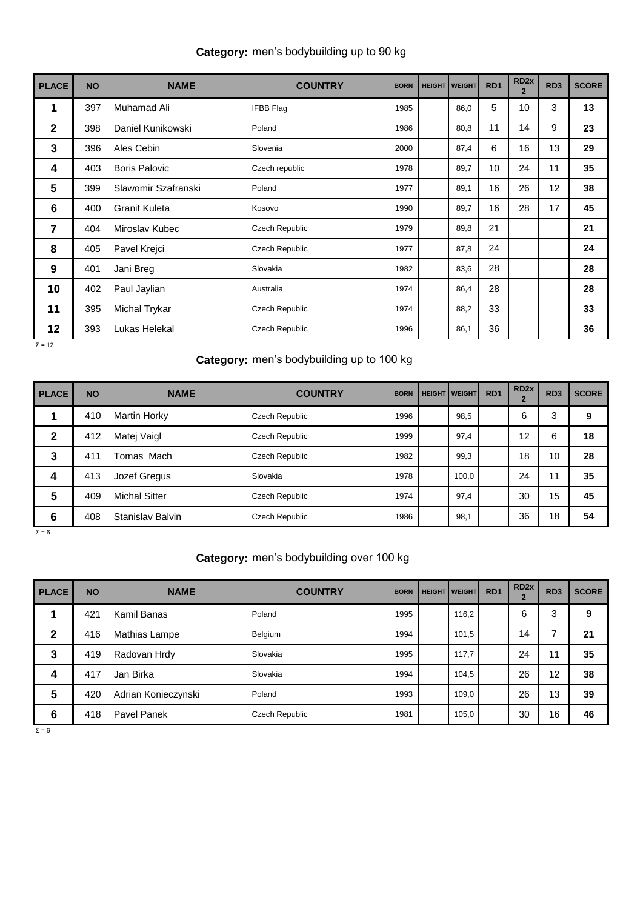|  |  | Category: men's bodybuilding up to 90 kg |  |  |
|--|--|------------------------------------------|--|--|
|--|--|------------------------------------------|--|--|

| <b>PLACE</b>   | <b>NO</b> | <b>NAME</b>          | <b>COUNTRY</b>        | <b>BORN</b> | <b>HEIGHT   WEIGHT</b> | RD <sub>1</sub> | RD <sub>2x</sub><br>$\overline{2}$ | RD <sub>3</sub> | <b>SCORE</b> |
|----------------|-----------|----------------------|-----------------------|-------------|------------------------|-----------------|------------------------------------|-----------------|--------------|
| 1              | 397       | Muhamad Ali          | <b>IFBB Flag</b>      | 1985        | 86,0                   | 5               | 10                                 | 3               | 13           |
| $\mathbf{2}$   | 398       | Daniel Kunikowski    | Poland                | 1986        | 80,8                   | 11              | 14                                 | 9               | 23           |
| 3              | 396       | Ales Cebin           | Slovenia              | 2000        | 87,4                   | 6               | 16                                 | 13              | 29           |
| 4              | 403       | <b>Boris Palovic</b> | Czech republic        | 1978        | 89,7                   | 10              | 24                                 | 11              | 35           |
| 5              | 399       | Slawomir Szafranski  | Poland                | 1977        | 89,1                   | 16              | 26                                 | 12              | 38           |
| $6\phantom{1}$ | 400       | <b>Granit Kuleta</b> | Kosovo                | 1990        | 89,7                   | 16              | 28                                 | 17              | 45           |
| $\overline{7}$ | 404       | Miroslav Kubec       | Czech Republic        | 1979        | 89,8                   | 21              |                                    |                 | 21           |
| 8              | 405       | Pavel Krejci         | Czech Republic        | 1977        | 87,8                   | 24              |                                    |                 | 24           |
| 9              | 401       | Jani Breg            | Slovakia              | 1982        | 83,6                   | 28              |                                    |                 | 28           |
| 10             | 402       | Paul Jaylian         | Australia             | 1974        | 86,4                   | 28              |                                    |                 | 28           |
| 11             | 395       | <b>Michal Trykar</b> | <b>Czech Republic</b> | 1974        | 88,2                   | 33              |                                    |                 | 33           |
| 12             | 393       | Lukas Helekal        | <b>Czech Republic</b> | 1996        | 86,1                   | 36              |                                    |                 | 36           |

 $Σ = 12$ 

## **Category:** men's bodybuilding up to 100 kg

| <b>PLACE</b> | <b>NO</b> | <b>NAME</b>          | <b>COUNTRY</b> | <b>BORN</b> | <b>HEIGHT   WEIGHT</b> | RD <sub>1</sub> | RD <sub>2x</sub><br>$\overline{2}$ | RD <sub>3</sub> | <b>SCORE</b> |
|--------------|-----------|----------------------|----------------|-------------|------------------------|-----------------|------------------------------------|-----------------|--------------|
| 1            | 410       | <b>Martin Horky</b>  | Czech Republic | 1996        | 98,5                   |                 | 6                                  | 3               | 9            |
| $\mathbf{2}$ | 412       | Matej Vaigl          | Czech Republic | 1999        | 97,4                   |                 | $12 \overline{ }$                  | 6               | 18           |
| 3            | 411       | Tomas Mach           | Czech Republic | 1982        | 99,3                   |                 | 18                                 | 10              | 28           |
| 4            | 413       | Jozef Gregus         | Slovakia       | 1978        | 100,0                  |                 | 24                                 | 11              | 35           |
| 5            | 409       | <b>Michal Sitter</b> | Czech Republic | 1974        | 97,4                   |                 | 30                                 | 15              | 45           |
| 6            | 408       | Stanislav Balvin     | Czech Republic | 1986        | 98,1                   |                 | 36                                 | 18              | 54           |

 $Σ = 6$ 

#### **Category:** men's bodybuilding over 100 kg

| <b>PLACE</b><br>ı | <b>NO</b> | <b>NAME</b>         | <b>COUNTRY</b>        | <b>BORN</b> | <b>HEIGHT   WEIGHT</b> | RD <sub>1</sub> | RD <sub>2x</sub><br>$\overline{2}$ | RD <sub>3</sub> | <b>SCORE</b> |
|-------------------|-----------|---------------------|-----------------------|-------------|------------------------|-----------------|------------------------------------|-----------------|--------------|
|                   | 421       | Kamil Banas         | Poland                | 1995        | 116,2                  |                 | 6                                  | 3               | 9            |
| $\mathbf{2}$      | 416       | Mathias Lampe       | Belgium               | 1994        | 101,5                  |                 | 14                                 | $\overline{ }$  | 21           |
| 3                 | 419       | Radovan Hrdy        | Slovakia              | 1995        | 117,7                  |                 | 24                                 | 11              | 35           |
| 4                 | 417       | Jan Birka           | Slovakia              | 1994        | 104,5                  |                 | 26                                 | 12              | 38           |
| 5                 | 420       | Adrian Konieczynski | Poland                | 1993        | 109,0                  |                 | 26                                 | 13              | 39           |
| 6                 | 418       | <b>Pavel Panek</b>  | <b>Czech Republic</b> | 1981        | 105,0                  |                 | 30                                 | 16              | 46           |